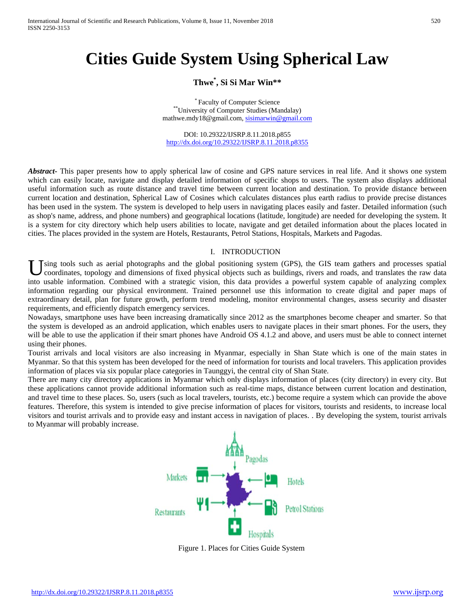# **Cities Guide System Using Spherical Law**

# **Thwe\* , Si Si Mar Win\*\***

\* Faculty of Computer Science<br>
\*\*University of Computer Studies (Mandalay) mathwe.mdy18@gmail.com[, sisimarwin@gmail.com](mailto:sisimarwin@gmail.com)

DOI: 10.29322/IJSRP.8.11.2018.p855 <http://dx.doi.org/10.29322/IJSRP.8.11.2018.p8355>

*Abstract***-** This paper presents how to apply spherical law of cosine and GPS nature services in real life. And it shows one system which can easily locate, navigate and display detailed information of specific shops to users. The system also displays additional useful information such as route distance and travel time between current location and destination. To provide distance between current location and destination, Spherical Law of Cosines which calculates distances plus earth radius to provide precise distances has been used in the system. The system is developed to help users in navigating places easily and faster. Detailed information (such as shop's name, address, and phone numbers) and geographical locations (latitude, longitude) are needed for developing the system. It is a system for city directory which help users abilities to locate, navigate and get detailed information about the places located in cities. The places provided in the system are Hotels, Restaurants, Petrol Stations, Hospitals, Markets and Pagodas.

#### I. INTRODUCTION

sing tools such as aerial photographs and the global positioning system (GPS), the GIS team gathers and processes spatial coordinates, topology and dimensions of fixed physical objects such as buildings, rivers and roads, and translates the raw data Using tools such as aerial photographs and the global positioning system (GPS), the GIS team gathers and processes spatial coordinates, topology and dimensions of fixed physical objects such as buildings, rivers and roads, information regarding our physical environment. Trained personnel use this information to create digital and paper maps of extraordinary detail, plan for future growth, perform trend modeling, monitor environmental changes, assess security and disaster requirements, and efficiently dispatch emergency services.

Nowadays, smartphone uses have been increasing dramatically since 2012 as the smartphones become cheaper and smarter. So that the system is developed as an android application, which enables users to navigate places in their smart phones. For the users, they will be able to use the application if their smart phones have Android OS 4.1.2 and above, and users must be able to connect internet using their phones.

Tourist arrivals and local visitors are also increasing in Myanmar, especially in Shan State which is one of the main states in Myanmar. So that this system has been developed for the need of information for tourists and local travelers. This application provides information of places via six popular place categories in Taunggyi, the central city of Shan State.

There are many city directory applications in Myanmar which only displays information of places (city directory) in every city. But these applications cannot provide additional information such as real-time maps, distance between current location and destination, and travel time to these places. So, users (such as local travelers, tourists, etc.) become require a system which can provide the above features. Therefore, this system is intended to give precise information of places for visitors, tourists and residents, to increase local visitors and tourist arrivals and to provide easy and instant access in navigation of places. . By developing the system, tourist arrivals to Myanmar will probably increase.



Figure 1. Places for Cities Guide System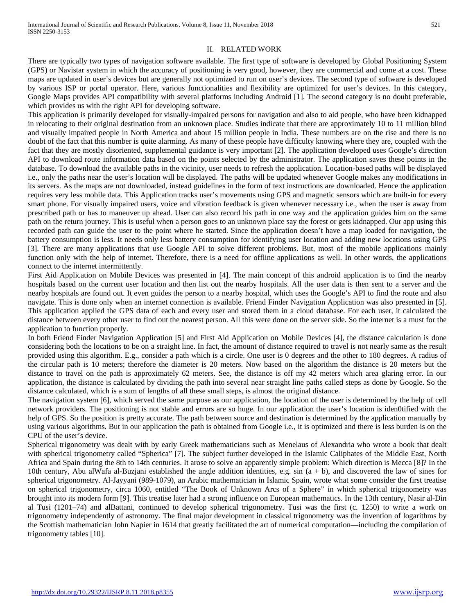## II. RELATED WORK

There are typically two types of navigation software available. The first type of software is developed by Global Positioning System (GPS) or Navistar system in which the accuracy of positioning is very good, however, they are commercial and come at a cost. These maps are updated in user's devices but are generally not optimized to run on user's devices. The second type of software is developed by various ISP or portal operator. Here, various functionalities and flexibility are optimized for user's devices. In this category, Google Maps provides API compatibility with several platforms including Android [1]. The second category is no doubt preferable, which provides us with the right API for developing software.

This application is primarily developed for visually-impaired persons for navigation and also to aid people, who have been kidnapped in relocating to their original destination from an unknown place. Studies indicate that there are approximately 10 to 11 million blind and visually impaired people in North America and about 15 million people in India. These numbers are on the rise and there is no doubt of the fact that this number is quite alarming. As many of these people have difficulty knowing where they are, coupled with the fact that they are mostly disoriented, supplemental guidance is very important [2]. The application developed uses Google's direction API to download route information data based on the points selected by the administrator. The application saves these points in the database. To download the available paths in the vicinity, user needs to refresh the application. Location-based paths will be displayed i.e., only the paths near the user's location will be displayed. The paths will be updated whenever Google makes any modifications in its servers. As the maps are not downloaded, instead guidelines in the form of text instructions are downloaded. Hence the application requires very less mobile data. This Application tracks user's movements using GPS and magnetic sensors which are built-in for every smart phone. For visually impaired users, voice and vibration feedback is given whenever necessary i.e., when the user is away from prescribed path or has to maneuver up ahead. User can also record his path in one way and the application guides him on the same path on the return journey. This is useful when a person goes to an unknown place say the forest or gets kidnapped. Our app using this recorded path can guide the user to the point where he started. Since the application doesn't have a map loaded for navigation, the battery consumption is less. It needs only less battery consumption for identifying user location and adding new locations using GPS [3]. There are many applications that use Google API to solve different problems. But, most of the mobile applications mainly function only with the help of internet. Therefore, there is a need for offline applications as well. In other words, the applications connect to the internet intermittently.

First Aid Application on Mobile Devices was presented in [4]. The main concept of this android application is to find the nearby hospitals based on the current user location and then list out the nearby hospitals. All the user data is then sent to a server and the nearby hospitals are found out. It even guides the person to a nearby hospital, which uses the Google's API to find the route and also navigate. This is done only when an internet connection is available. Friend Finder Navigation Application was also presented in [5]. This application applied the GPS data of each and every user and stored them in a cloud database. For each user, it calculated the distance between every other user to find out the nearest person. All this were done on the server side. So the internet is a must for the application to function properly.

In both Friend Finder Navigation Application [5] and First Aid Application on Mobile Devices [4], the distance calculation is done considering both the locations to be on a straight line. In fact, the amount of distance required to travel is not nearly same as the result provided using this algorithm. E.g., consider a path which is a circle. One user is 0 degrees and the other to 180 degrees. A radius of the circular path is 10 meters; therefore the diameter is 20 meters. Now based on the algorithm the distance is 20 meters but the distance to travel on the path is approximately 62 meters. See, the distance is off my 42 meters which area glaring error. In our application, the distance is calculated by dividing the path into several near straight line paths called steps as done by Google. So the distance calculated, which is a sum of lengths of all these small steps, is almost the original distance.

The navigation system [6], which served the same purpose as our application, the location of the user is determined by the help of cell network providers. The positioning is not stable and errors are so huge. In our application the user's location is iden0tified with the help of GPS. So the position is pretty accurate. The path between source and destination is determined by the application manually by using various algorithms. But in our application the path is obtained from Google i.e., it is optimized and there is less burden is on the CPU of the user's device.

Spherical trigonometry was dealt with by early Greek mathematicians such as Menelaus of Alexandria who wrote a book that dealt with spherical trigonometry called "Spherica" [7]. The subject further developed in the Islamic Caliphates of the Middle East, North Africa and Spain during the 8th to 14th centuries. It arose to solve an apparently simple problem: Which direction is Mecca [8]? In the 10th century, Abu alWafa al-Buzjani established the angle addition identities, e.g. sin (a + b), and discovered the law of sines for spherical trigonometry. Al-Jayyani (989-1079), an Arabic mathematician in Islamic Spain, wrote what some consider the first treatise on spherical trigonometry, circa 1060, entitled "The Book of Unknown Arcs of a Sphere" in which spherical trigonometry was brought into its modern form [9]. This treatise later had a strong influence on European mathematics. In the 13th century, Nasir al-Din al Tusi (1201–74) and alBattani, continued to develop spherical trigonometry. Tusi was the first (c. 1250) to write a work on trigonometry independently of astronomy. The final major development in classical trigonometry was the invention of logarithms by the Scottish mathematician John Napier in 1614 that greatly facilitated the art of numerical computation—including the compilation of trigonometry tables [10].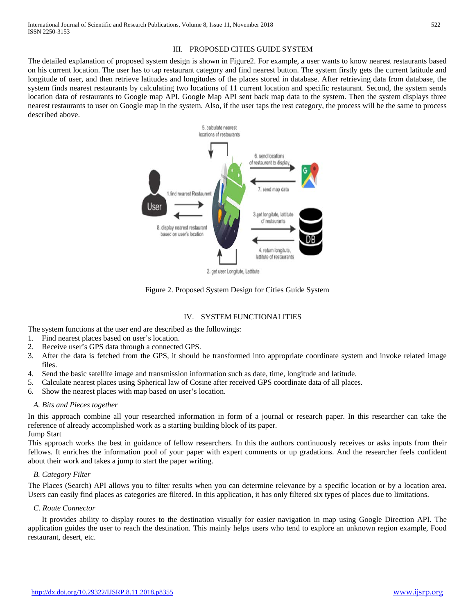# III. PROPOSED CITIES GUIDE SYSTEM

The detailed explanation of proposed system design is shown in Figure2. For example, a user wants to know nearest restaurants based on his current location. The user has to tap restaurant category and find nearest button. The system firstly gets the current latitude and longitude of user, and then retrieve latitudes and longitudes of the places stored in database. After retrieving data from database, the system finds nearest restaurants by calculating two locations of 11 current location and specific restaurant. Second, the system sends location data of restaurants to Google map API. Google Map API sent back map data to the system. Then the system displays three nearest restaurants to user on Google map in the system. Also, if the user taps the rest category, the process will be the same to process described above.



Figure 2. Proposed System Design for Cities Guide System

# IV. SYSTEM FUNCTIONALITIES

The system functions at the user end are described as the followings:

- 1. Find nearest places based on user's location.
- 2. Receive user's GPS data through a connected GPS.
- 3. After the data is fetched from the GPS, it should be transformed into appropriate coordinate system and invoke related image files.
- 4. Send the basic satellite image and transmission information such as date, time, longitude and latitude.
- 5. Calculate nearest places using Spherical law of Cosine after received GPS coordinate data of all places.
- 6. Show the nearest places with map based on user's location.

# *A. Bits and Pieces together*

In this approach combine all your researched information in form of a journal or research paper. In this researcher can take the reference of already accomplished work as a starting building block of its paper. Jump Start

This approach works the best in guidance of fellow researchers. In this the authors continuously receives or asks inputs from their fellows. It enriches the information pool of your paper with expert comments or up gradations. And the researcher feels confident about their work and takes a jump to start the paper writing.

# *B. Category Filter*

The Places (Search) API allows you to filter results when you can determine relevance by a specific location or by a location area. Users can easily find places as categories are filtered. In this application, it has only filtered six types of places due to limitations.

# *C. Route Connector*

It provides ability to display routes to the destination visually for easier navigation in map using Google Direction API. The application guides the user to reach the destination. This mainly helps users who tend to explore an unknown region example, Food restaurant, desert, etc.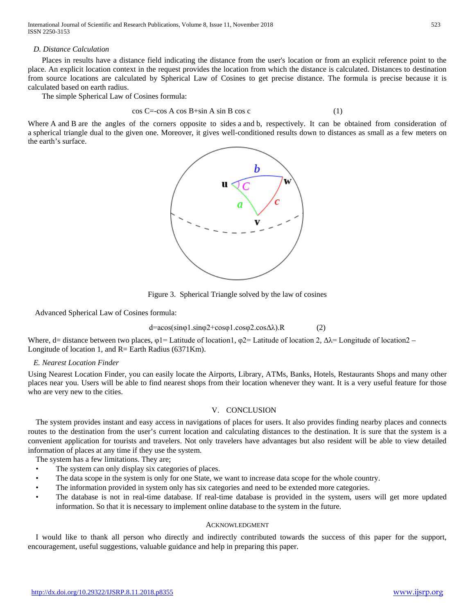International Journal of Scientific and Research Publications, Volume 8, Issue 11, November 2018 523 ISSN 2250-3153

#### *D. Distance Calculation*

Places in results have a distance field indicating the distance from the user's location or from an explicit reference point to the place. An explicit location context in the request provides the location from which the distance is calculated. Distances to destination from source locations are calculated by Spherical Law of Cosines to get precise distance. The formula is precise because it is calculated based on earth radius.

The simple Spherical Law of Cosines formula:

$$
\cos C = -\cos A \cos B + \sin A \sin B \cos c \tag{1}
$$

Where A and B are the angles of the corners opposite to sides a and b, respectively. It can be obtained from consideration of a [spherical triangle dual](https://en.wikipedia.org/wiki/Spherical_trigonometry#Polar_triangles) to the given one. Moreover, it gives well-conditioned results down to distances as small as a few meters on the earth's surface.



Figure 3. Spherical Triangle solved by the law of cosines

Advanced Spherical Law of Cosines formula:

## $d = a cos(sin φ1 sin φ2 + cos φ1 cos φ2 cos Δλ).R$  (2)

Where, d= distance between two places,  $\varphi$ 1= Latitude of location1,  $\varphi$ 2= Latitude of location 2,  $\Delta\lambda$ = Longitude of location2 – Longitude of location 1, and  $R =$  Earth Radius (6371Km).

#### *E. Nearest Location Finder*

Using Nearest Location Finder, you can easily locate the Airports, Library, ATMs, Banks, Hotels, Restaurants Shops and many other places near you. Users will be able to find nearest shops from their location whenever they want. It is a very useful feature for those who are very new to the cities.

#### V. CONCLUSION

The system provides instant and easy access in navigations of places for users. It also provides finding nearby places and connects routes to the destination from the user's current location and calculating distances to the destination. It is sure that the system is a convenient application for tourists and travelers. Not only travelers have advantages but also resident will be able to view detailed information of places at any time if they use the system.

The system has a few limitations. They are;

- The system can only display six categories of places.
- The data scope in the system is only for one State, we want to increase data scope for the whole country.
- The information provided in system only has six categories and need to be extended more categories.
- The database is not in real-time database. If real-time database is provided in the system, users will get more updated information. So that it is necessary to implement online database to the system in the future.

#### ACKNOWLEDGMENT

I would like to thank all person who directly and indirectly contributed towards the success of this paper for the support, encouragement, useful suggestions, valuable guidance and help in preparing this paper.